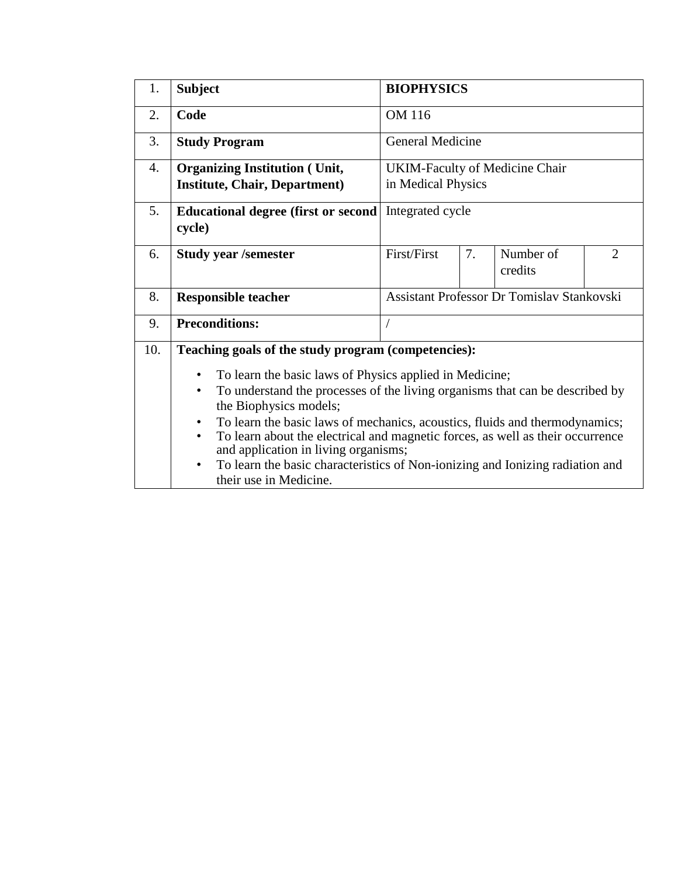| 1.  | <b>Subject</b>                                                                                                                     | <b>BIOPHYSICS</b>                          |    |                                       |                |  |
|-----|------------------------------------------------------------------------------------------------------------------------------------|--------------------------------------------|----|---------------------------------------|----------------|--|
| 2.  | Code                                                                                                                               | OM 116                                     |    |                                       |                |  |
| 3.  | <b>Study Program</b>                                                                                                               | <b>General Medicine</b>                    |    |                                       |                |  |
| 4.  | <b>Organizing Institution (Unit,</b>                                                                                               |                                            |    | <b>UKIM-Faculty of Medicine Chair</b> |                |  |
|     | <b>Institute, Chair, Department)</b>                                                                                               | in Medical Physics                         |    |                                       |                |  |
| 5.  | <b>Educational degree (first or second)</b><br>cycle)                                                                              | Integrated cycle                           |    |                                       |                |  |
| 6.  | <b>Study year /semester</b>                                                                                                        | First/First                                | 7. | Number of<br>credits                  | $\overline{2}$ |  |
| 8.  | <b>Responsible teacher</b>                                                                                                         | Assistant Professor Dr Tomislav Stankovski |    |                                       |                |  |
| 9.  | <b>Preconditions:</b>                                                                                                              |                                            |    |                                       |                |  |
| 10. | Teaching goals of the study program (competencies):                                                                                |                                            |    |                                       |                |  |
|     | To learn the basic laws of Physics applied in Medicine;<br>$\bullet$                                                               |                                            |    |                                       |                |  |
|     | To understand the processes of the living organisms that can be described by<br>$\bullet$<br>the Biophysics models;                |                                            |    |                                       |                |  |
|     | To learn the basic laws of mechanics, acoustics, fluids and thermodynamics;<br>٠                                                   |                                            |    |                                       |                |  |
|     | To learn about the electrical and magnetic forces, as well as their occurrence<br>$\bullet$                                        |                                            |    |                                       |                |  |
|     | and application in living organisms;<br>To learn the basic characteristics of Non-ionizing and Ionizing radiation and<br>$\bullet$ |                                            |    |                                       |                |  |
|     | their use in Medicine.                                                                                                             |                                            |    |                                       |                |  |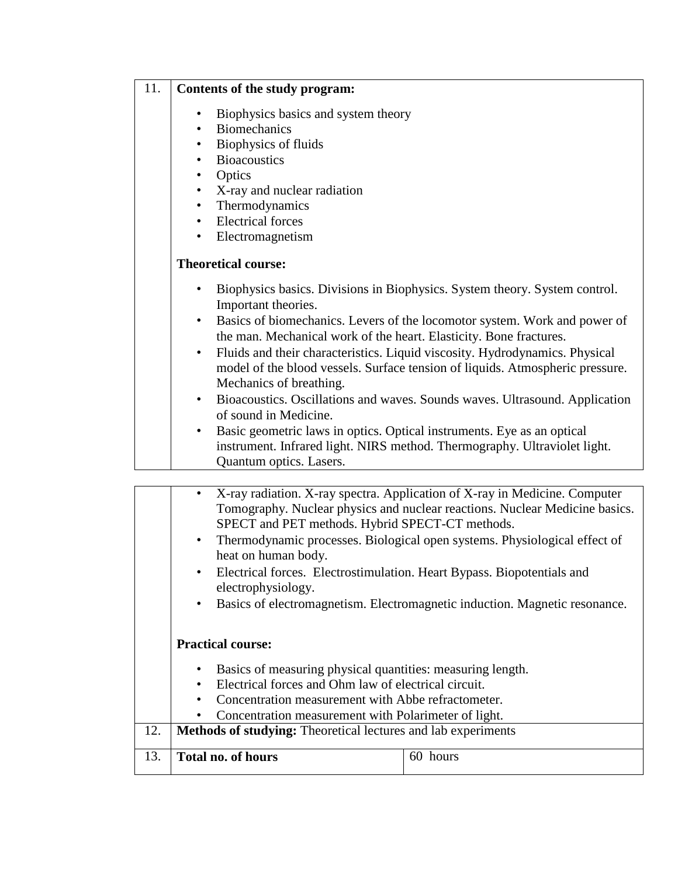## 11. **Contents of the study program:**

- Biophysics basics and system theory
- **Biomechanics**
- Biophysics of fluids
- **Bioacoustics**
- **Optics**
- X-ray and nuclear radiation
- **Thermodynamics**
- Electrical forces
- Electromagnetism

## **Theoretical course:**

- Biophysics basics. Divisions in Biophysics. System theory. System control. Important theories.
- Basics of biomechanics. Levers of the locomotor system. Work and power of the man. Mechanical work of the heart. Elasticity. Bone fractures.
- Fluids and their characteristics. Liquid viscosity. Hydrodynamics. Physical model of the blood vessels. Surface tension of liquids. Atmospheric pressure. Mechanics of breathing.
- Bioacoustics. Oscillations and waves. Sounds waves. Ultrasound. Application of sound in Medicine.
- Basic geometric laws in optics. Optical instruments. Eye as an optical instrument. Infrared light. NIRS method. Thermography. Ultraviolet light. Quantum optics. Lasers.

|     | X-ray radiation. X-ray spectra. Application of X-ray in Medicine. Computer<br>$\bullet$<br>Tomography. Nuclear physics and nuclear reactions. Nuclear Medicine basics.<br>SPECT and PET methods. Hybrid SPECT-CT methods.<br>Thermodynamic processes. Biological open systems. Physiological effect of<br>$\bullet$<br>heat on human body.<br>Electrical forces. Electrostimulation. Heart Bypass. Biopotentials and<br>$\bullet$<br>electrophysiology.<br>Basics of electromagnetism. Electromagnetic induction. Magnetic resonance.<br>$\bullet$<br><b>Practical course:</b> |  |  |  |  |
|-----|--------------------------------------------------------------------------------------------------------------------------------------------------------------------------------------------------------------------------------------------------------------------------------------------------------------------------------------------------------------------------------------------------------------------------------------------------------------------------------------------------------------------------------------------------------------------------------|--|--|--|--|
|     | Basics of measuring physical quantities: measuring length.<br>$\bullet$                                                                                                                                                                                                                                                                                                                                                                                                                                                                                                        |  |  |  |  |
|     | Electrical forces and Ohm law of electrical circuit.<br>$\bullet$                                                                                                                                                                                                                                                                                                                                                                                                                                                                                                              |  |  |  |  |
|     | Concentration measurement with Abbe refractometer.<br>$\bullet$                                                                                                                                                                                                                                                                                                                                                                                                                                                                                                                |  |  |  |  |
|     | Concentration measurement with Polarimeter of light.                                                                                                                                                                                                                                                                                                                                                                                                                                                                                                                           |  |  |  |  |
| 12. | <b>Methods of studying:</b> Theoretical lectures and lab experiments                                                                                                                                                                                                                                                                                                                                                                                                                                                                                                           |  |  |  |  |
| 13. | <b>Total no. of hours</b><br>60 hours                                                                                                                                                                                                                                                                                                                                                                                                                                                                                                                                          |  |  |  |  |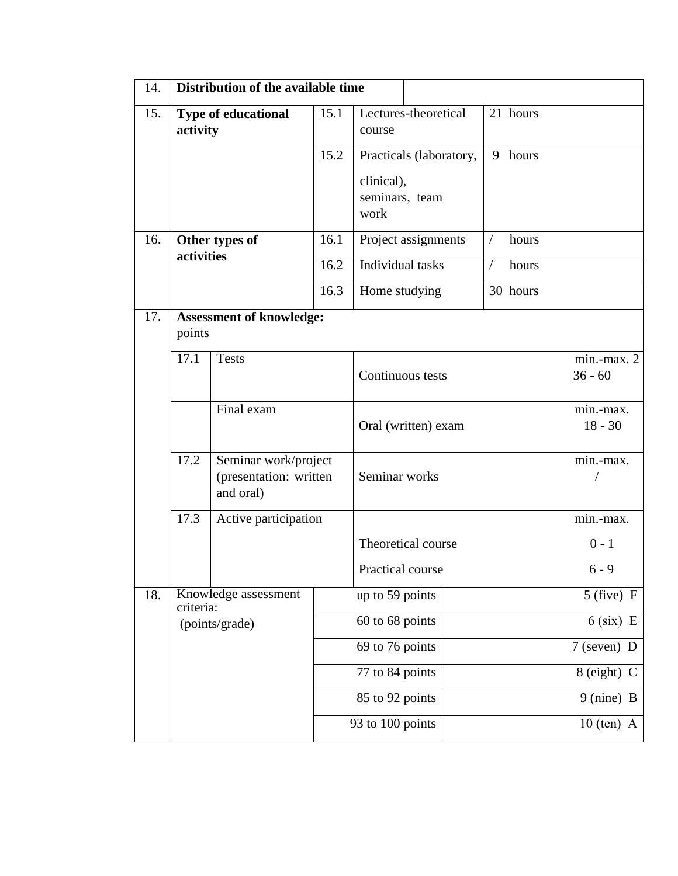| 14. | Distribution of the available time                  |                                                             |                  |                                      |                         |            |                               |                        |
|-----|-----------------------------------------------------|-------------------------------------------------------------|------------------|--------------------------------------|-------------------------|------------|-------------------------------|------------------------|
| 15. | <b>Type of educational</b><br>activity              |                                                             | 15.1             | course                               | Lectures-theoretical    |            | 21 hours                      |                        |
|     |                                                     |                                                             | 15.2             | clinical),<br>seminars, team<br>work | Practicals (laboratory, | 9          | hours                         |                        |
| 16. | Other types of<br>activities                        |                                                             | 16.1             |                                      | Project assignments     | $\sqrt{2}$ | hours                         |                        |
|     |                                                     |                                                             | 16.2             | Individual tasks                     |                         | $\sqrt{2}$ | hours                         |                        |
|     |                                                     |                                                             | 16.3             | Home studying                        |                         |            | 30 hours                      |                        |
| 17. | points                                              | <b>Assessment of knowledge:</b>                             |                  |                                      |                         |            |                               |                        |
|     | 17.1                                                | <b>Tests</b>                                                | Continuous tests |                                      |                         |            | $min$ - $max. 2$<br>$36 - 60$ |                        |
|     |                                                     | Final exam                                                  |                  |                                      | Oral (written) exam     |            |                               | min.-max.<br>$18 - 30$ |
|     | 17.2                                                | Seminar work/project<br>(presentation: written<br>and oral) |                  | Seminar works                        |                         |            |                               | min.-max.              |
|     | 17.3                                                | Active participation                                        |                  |                                      |                         |            |                               | min.-max.              |
|     |                                                     |                                                             |                  |                                      | Theoretical course      |            |                               | $0 - 1$                |
|     |                                                     |                                                             |                  | Practical course                     |                         |            |                               | $6 - 9$                |
| 18. | Knowledge assessment<br>criteria:<br>(points/grade) |                                                             |                  | up to 59 points                      |                         |            |                               | $5$ (five) F           |
|     |                                                     |                                                             |                  | 60 to 68 points                      |                         |            |                               | $6$ (six) E            |
|     |                                                     |                                                             |                  | 69 to 76 points                      |                         |            |                               | $7$ (seven) D          |
|     |                                                     |                                                             |                  | 77 to 84 points                      |                         |            |                               | 8 (eight) C            |
|     |                                                     |                                                             |                  | 85 to 92 points                      |                         |            |                               | 9 (nine) B             |
|     |                                                     |                                                             |                  | 93 to 100 points                     |                         |            |                               | $10$ (ten) A           |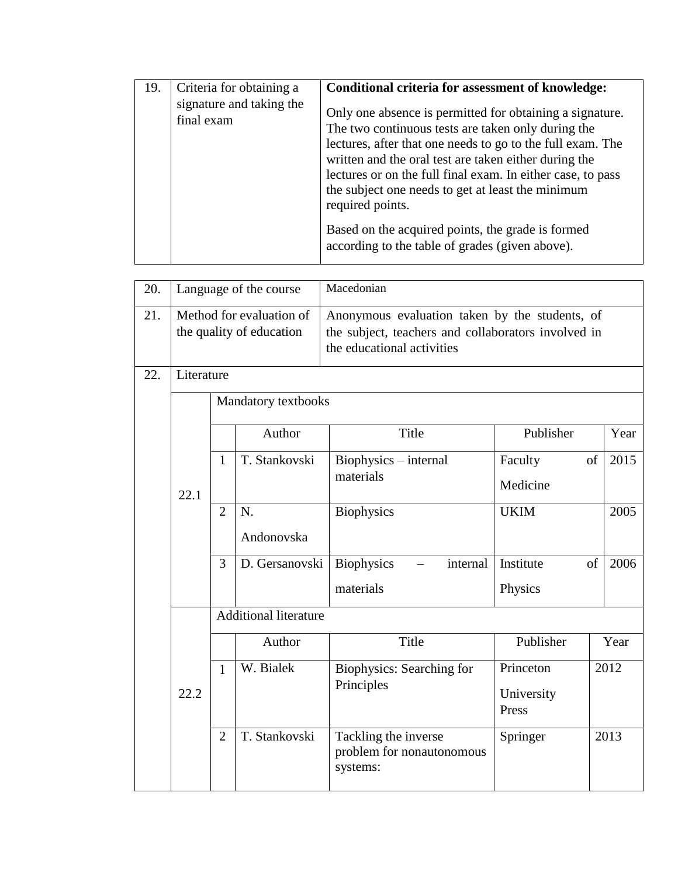| 19. | Criteria for obtaining a<br>signature and taking the<br>final exam | Conditional criteria for assessment of knowledge:<br>Only one absence is permitted for obtaining a signature.<br>The two continuous tests are taken only during the<br>lectures, after that one needs to go to the full exam. The<br>written and the oral test are taken either during the<br>lectures or on the full final exam. In either case, to pass<br>the subject one needs to get at least the minimum<br>required points.<br>Based on the acquired points, the grade is formed<br>according to the table of grades (given above). |
|-----|--------------------------------------------------------------------|--------------------------------------------------------------------------------------------------------------------------------------------------------------------------------------------------------------------------------------------------------------------------------------------------------------------------------------------------------------------------------------------------------------------------------------------------------------------------------------------------------------------------------------------|
|     |                                                                    |                                                                                                                                                                                                                                                                                                                                                                                                                                                                                                                                            |

| 20. | Language of the course |                     |                                                      | Macedonian                                                                                                                          |                     |    |      |  |
|-----|------------------------|---------------------|------------------------------------------------------|-------------------------------------------------------------------------------------------------------------------------------------|---------------------|----|------|--|
| 21. |                        |                     | Method for evaluation of<br>the quality of education | Anonymous evaluation taken by the students, of<br>the subject, teachers and collaborators involved in<br>the educational activities |                     |    |      |  |
| 22. | Literature             |                     |                                                      |                                                                                                                                     |                     |    |      |  |
|     |                        | Mandatory textbooks |                                                      |                                                                                                                                     |                     |    |      |  |
|     |                        |                     | Author                                               | Title                                                                                                                               | Publisher           |    | Year |  |
|     | 22.1                   | 1                   | T. Stankovski                                        | Biophysics – internal<br>materials                                                                                                  | Faculty             | of | 2015 |  |
|     |                        |                     |                                                      |                                                                                                                                     | Medicine            |    |      |  |
|     |                        | $\overline{2}$      | N.                                                   | <b>Biophysics</b>                                                                                                                   | <b>UKIM</b>         |    | 2005 |  |
|     |                        |                     | Andonovska                                           |                                                                                                                                     |                     |    |      |  |
|     |                        | 3                   | D. Gersanovski                                       | <b>Biophysics</b><br>internal                                                                                                       | Institute           | of | 2006 |  |
|     |                        |                     |                                                      | materials                                                                                                                           | Physics             |    |      |  |
|     |                        |                     | <b>Additional literature</b>                         |                                                                                                                                     |                     |    |      |  |
|     |                        |                     | Author                                               | Title                                                                                                                               | Publisher           |    | Year |  |
|     |                        | $\mathbf{1}$        | W. Bialek                                            | Biophysics: Searching for<br>Principles                                                                                             | Princeton           |    | 2012 |  |
|     | 22.2                   |                     |                                                      |                                                                                                                                     | University<br>Press |    |      |  |
|     |                        |                     |                                                      |                                                                                                                                     |                     |    |      |  |
|     |                        | $\overline{2}$      | T. Stankovski                                        | Tackling the inverse<br>problem for nonautonomous<br>systems:                                                                       | Springer            |    | 2013 |  |